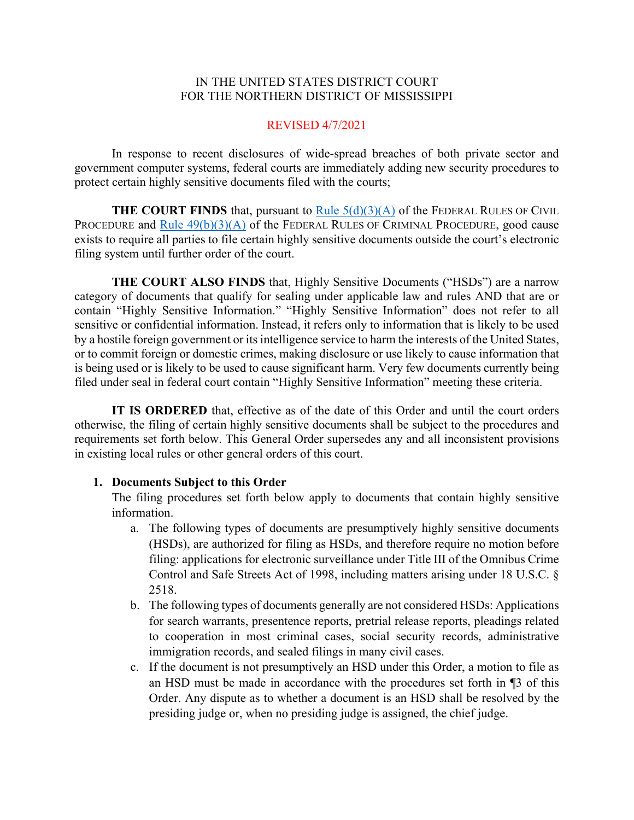### IN THE UNITED STATES DISTRICT COURT FOR THE NORTHERN DISTRICT OF MISSISSIPPI

### REVISED 4/7/2021

In response to recent disclosures of wide-spread breaches of both private sector and government computer systems, federal courts are immediately adding new security procedures to protect certain highly sensitive documents filed with the courts;

**THE COURT FINDS** that, pursuant to Rule  $5(d)(3)(A)$  of the FEDERAL RULES OF CIVIL PROCEDURE and Rule  $49(b)(3)(A)$  of the FEDERAL RULES OF CRIMINAL PROCEDURE, good cause exists to require all parties to file certain highly sensitive documents outside the court's electronic filing system until further order of the court.

**THE COURT ALSO FINDS** that, Highly Sensitive Documents ("HSDs") are a narrow category of documents that qualify for sealing under applicable law and rules AND that are or contain "Highly Sensitive Information." "Highly Sensitive Information" does not refer to all sensitive or confidential information. Instead, it refers only to information that is likely to be used by a hostile foreign government or its intelligence service to harm the interests of the United States, or to commit foreign or domestic crimes, making disclosure or use likely to cause information that is being used or is likely to be used to cause significant harm. Very few documents currently being filed under seal in federal court contain "Highly Sensitive Information" meeting these criteria.

**IT IS ORDERED** that, effective as of the date of this Order and until the court orders otherwise, the filing of certain highly sensitive documents shall be subject to the procedures and requirements set forth below. This General Order supersedes any and all inconsistent provisions in existing local rules or other general orders of this court.

### **1. Documents Subject to this Order**

The filing procedures set forth below apply to documents that contain highly sensitive information.

- a. The following types of documents are presumptively highly sensitive documents (HSDs), are authorized for filing as HSDs, and therefore require no motion before filing: applications for electronic surveillance under Title III of the Omnibus Crime Control and Safe Streets Act of 1998, including matters arising under 18 U.S.C. § 2518.
- b. The following types of documents generally are not considered HSDs: Applications for search warrants, presentence reports, pretrial release reports, pleadings related to cooperation in most criminal cases, social security records, administrative immigration records, and sealed filings in many civil cases.
- c. If the document is not presumptively an HSD under this Order, a motion to file as an HSD must be made in accordance with the procedures set forth in ¶3 of this Order. Any dispute as to whether a document is an HSD shall be resolved by the presiding judge or, when no presiding judge is assigned, the chief judge.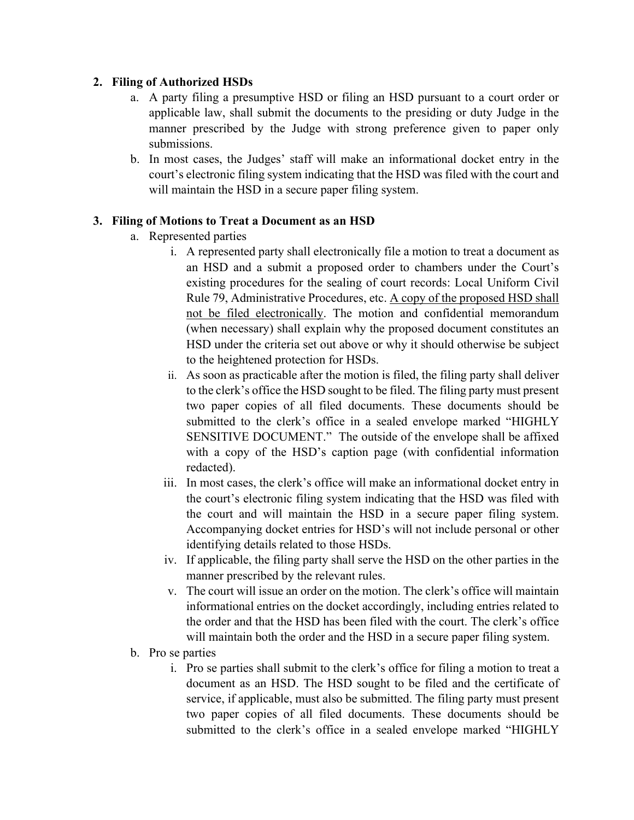## **2. Filing of Authorized HSDs**

- a. A party filing a presumptive HSD or filing an HSD pursuant to a court order or applicable law, shall submit the documents to the presiding or duty Judge in the manner prescribed by the Judge with strong preference given to paper only submissions.
- b. In most cases, the Judges' staff will make an informational docket entry in the court's electronic filing system indicating that the HSD was filed with the court and will maintain the HSD in a secure paper filing system.

## **3. Filing of Motions to Treat a Document as an HSD**

- a. Represented parties
	- i. A represented party shall electronically file a motion to treat a document as an HSD and a submit a proposed order to chambers under the Court's existing procedures for the sealing of court records: Local Uniform Civil Rule 79, Administrative Procedures, etc. A copy of the proposed HSD shall not be filed electronically. The motion and confidential memorandum (when necessary) shall explain why the proposed document constitutes an HSD under the criteria set out above or why it should otherwise be subject to the heightened protection for HSDs.
	- ii. As soon as practicable after the motion is filed, the filing party shall deliver to the clerk's office the HSD sought to be filed. The filing party must present two paper copies of all filed documents. These documents should be submitted to the clerk's office in a sealed envelope marked "HIGHLY SENSITIVE DOCUMENT." The outside of the envelope shall be affixed with a copy of the HSD's caption page (with confidential information redacted).
	- iii. In most cases, the clerk's office will make an informational docket entry in the court's electronic filing system indicating that the HSD was filed with the court and will maintain the HSD in a secure paper filing system. Accompanying docket entries for HSD's will not include personal or other identifying details related to those HSDs.
	- iv. If applicable, the filing party shall serve the HSD on the other parties in the manner prescribed by the relevant rules.
	- v. The court will issue an order on the motion. The clerk's office will maintain informational entries on the docket accordingly, including entries related to the order and that the HSD has been filed with the court. The clerk's office will maintain both the order and the HSD in a secure paper filing system.
- b. Pro se parties
	- i. Pro se parties shall submit to the clerk's office for filing a motion to treat a document as an HSD. The HSD sought to be filed and the certificate of service, if applicable, must also be submitted. The filing party must present two paper copies of all filed documents. These documents should be submitted to the clerk's office in a sealed envelope marked "HIGHLY